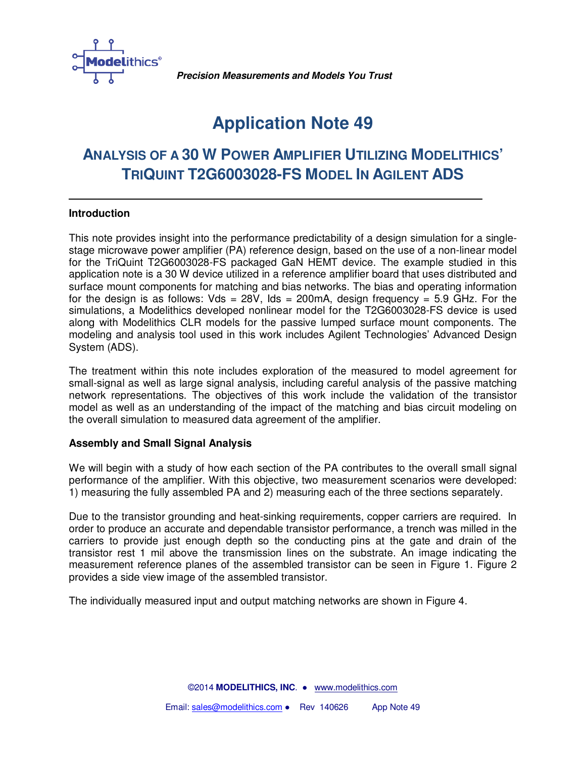

**Precision Measurements and Models You Trust**

# **Application Note 49**

# **ANALYSIS OF A 30 W POWER AMPLIFIER UTILIZING MODELITHICS' TRIQUINT T2G6003028-FS MODEL IN AGILENT ADS**

# **Introduction**

This note provides insight into the performance predictability of a design simulation for a singlestage microwave power amplifier (PA) reference design, based on the use of a non-linear model for the TriQuint T2G6003028-FS packaged GaN HEMT device. The example studied in this application note is a 30 W device utilized in a reference amplifier board that uses distributed and surface mount components for matching and bias networks. The bias and operating information for the design is as follows: Vds =  $28V$ , Ids =  $200mA$ , design frequency =  $5.9$  GHz. For the simulations, a Modelithics developed nonlinear model for the T2G6003028-FS device is used along with Modelithics CLR models for the passive lumped surface mount components. The modeling and analysis tool used in this work includes Agilent Technologies' Advanced Design System (ADS).

The treatment within this note includes exploration of the measured to model agreement for small-signal as well as large signal analysis, including careful analysis of the passive matching network representations. The objectives of this work include the validation of the transistor model as well as an understanding of the impact of the matching and bias circuit modeling on the overall simulation to measured data agreement of the amplifier.

## **Assembly and Small Signal Analysis**

We will begin with a study of how each section of the PA contributes to the overall small signal performance of the amplifier. With this objective, two measurement scenarios were developed: 1) measuring the fully assembled PA and 2) measuring each of the three sections separately.

Due to the transistor grounding and heat-sinking requirements, copper carriers are required. In order to produce an accurate and dependable transistor performance, a trench was milled in the carriers to provide just enough depth so the conducting pins at the gate and drain of the transistor rest 1 mil above the transmission lines on the substrate. An image indicating the measurement reference planes of the assembled transistor can be seen in Figure 1. Figure 2 provides a side view image of the assembled transistor.

The individually measured input and output matching networks are shown in Figure 4.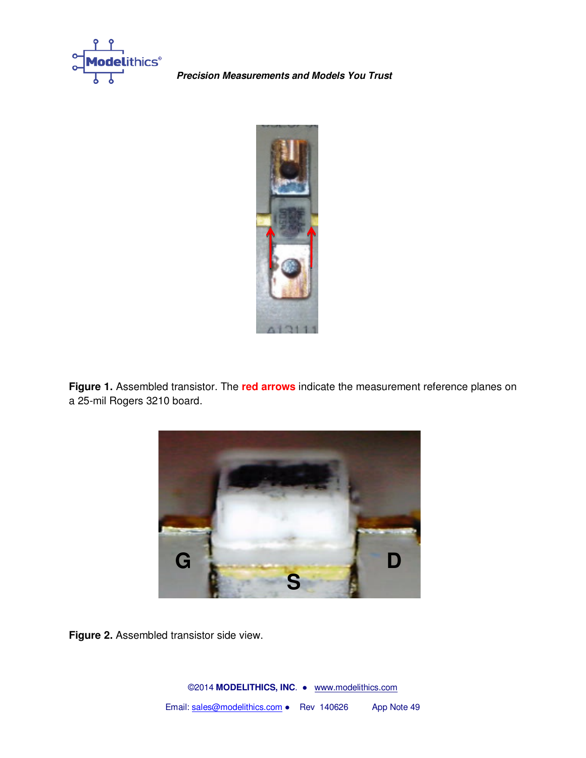

**Precision Measurements and Models You Trust**



**Figure 1.** Assembled transistor. The **red arrows** indicate the measurement reference planes on a 25-mil Rogers 3210 board.



**Figure 2.** Assembled transistor side view.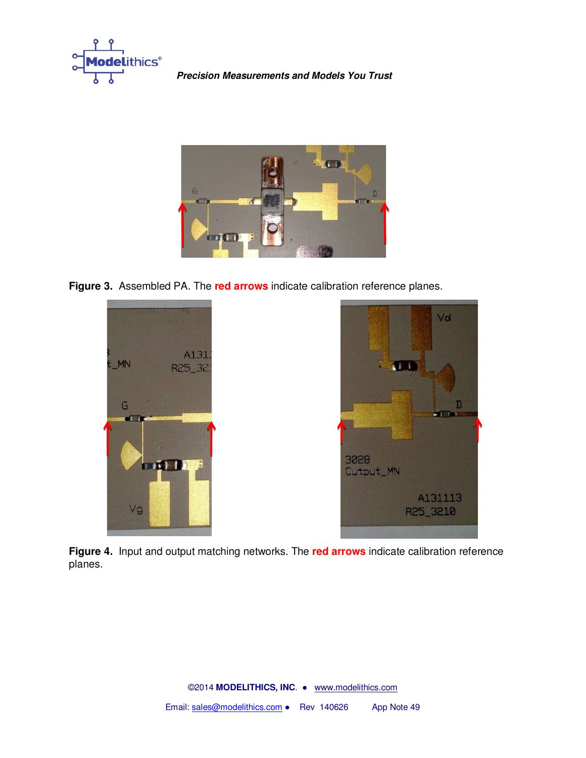



**Figure 3.** Assembled PA. The **red arrows** indicate calibration reference planes.





**Figure 4.** Input and output matching networks. The **red arrows** indicate calibration reference planes.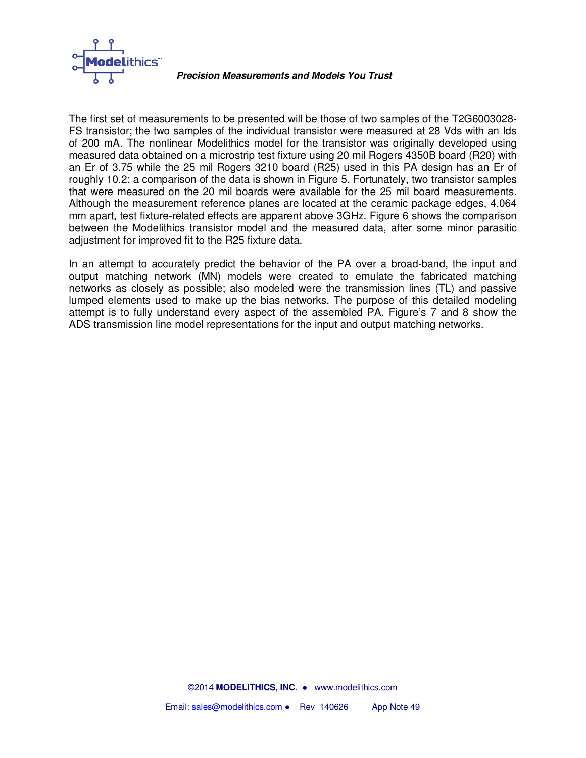

The first set of measurements to be presented will be those of two samples of the T2G6003028- FS transistor; the two samples of the individual transistor were measured at 28 Vds with an Ids of 200 mA. The nonlinear Modelithics model for the transistor was originally developed using measured data obtained on a microstrip test fixture using 20 mil Rogers 4350B board (R20) with an Er of 3.75 while the 25 mil Rogers 3210 board (R25) used in this PA design has an Er of roughly 10.2; a comparison of the data is shown in Figure 5. Fortunately, two transistor samples that were measured on the 20 mil boards were available for the 25 mil board measurements. Although the measurement reference planes are located at the ceramic package edges, 4.064 mm apart, test fixture-related effects are apparent above 3GHz. Figure 6 shows the comparison between the Modelithics transistor model and the measured data, after some minor parasitic adjustment for improved fit to the R25 fixture data.

In an attempt to accurately predict the behavior of the PA over a broad-band, the input and output matching network (MN) models were created to emulate the fabricated matching networks as closely as possible; also modeled were the transmission lines (TL) and passive lumped elements used to make up the bias networks. The purpose of this detailed modeling attempt is to fully understand every aspect of the assembled PA. Figure's 7 and 8 show the ADS transmission line model representations for the input and output matching networks.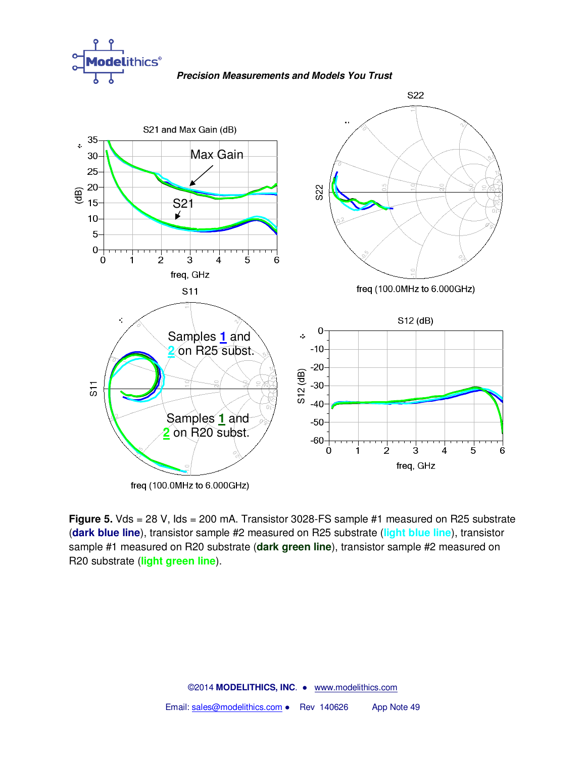

**Precision Measurements and Models You Trust**



**Figure 5.** Vds = 28 V, Ids = 200 mA. Transistor 3028-FS sample #1 measured on R25 substrate (**dark blue line**), transistor sample #2 measured on R25 substrate (**light blue line**), transistor sample #1 measured on R20 substrate (**dark green line**), transistor sample #2 measured on R20 substrate (**light green line**).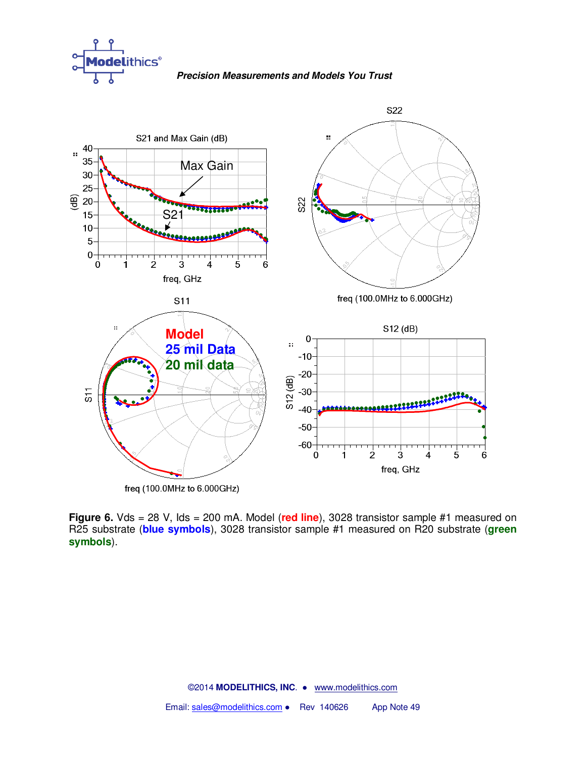

**Precision Measurements and Models You Trust**



**Figure 6.** Vds = 28 V, Ids = 200 mA. Model (red line), 3028 transistor sample #1 measured on R25 substrate (**blue symbols**), 3028 transistor sample #1 measured on R20 substrate (**green symbols**).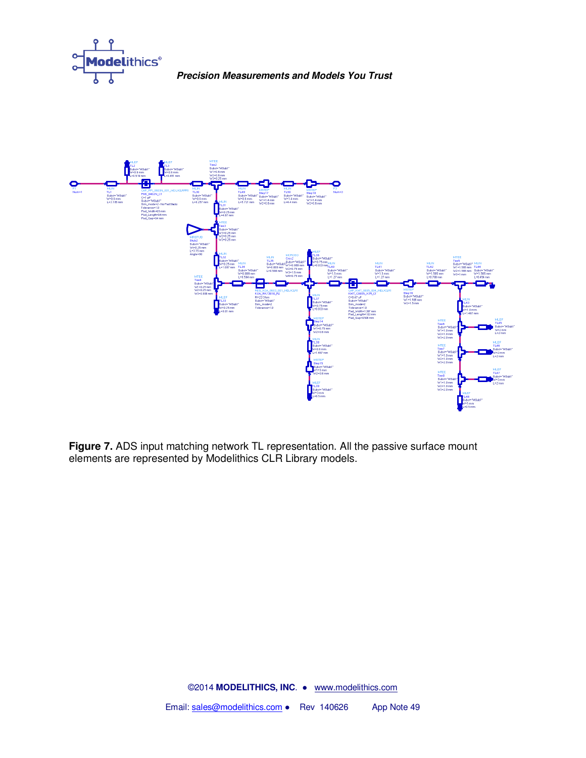



**Figure 7.** ADS input matching network TL representation. All the passive surface mount elements are represented by Modelithics CLR Library models.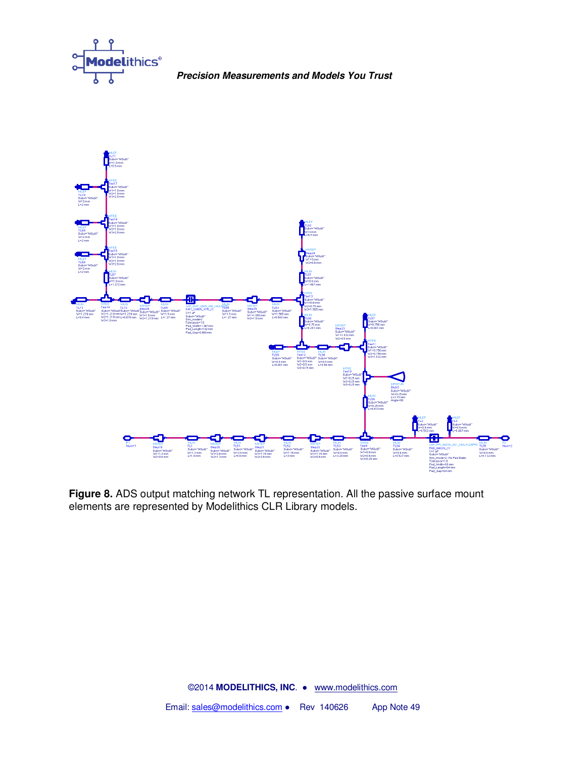



**Figure 8.** ADS output matching network TL representation. All the passive surface mount elements are represented by Modelithics CLR Library models.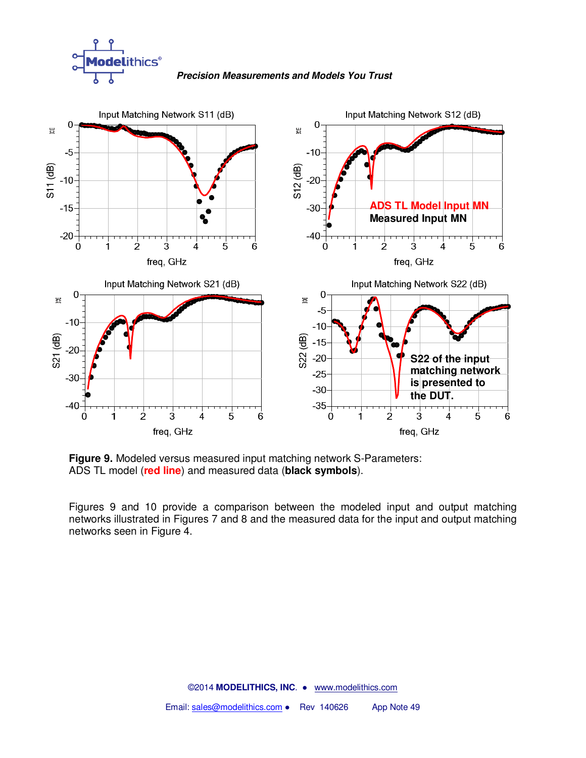





**Figure 9.** Modeled versus measured input matching network S-Parameters: ADS TL model (**red line**) and measured data (**black symbols**).

Figures 9 and 10 provide a comparison between the modeled input and output matching networks illustrated in Figures 7 and 8 and the measured data for the input and output matching networks seen in Figure 4.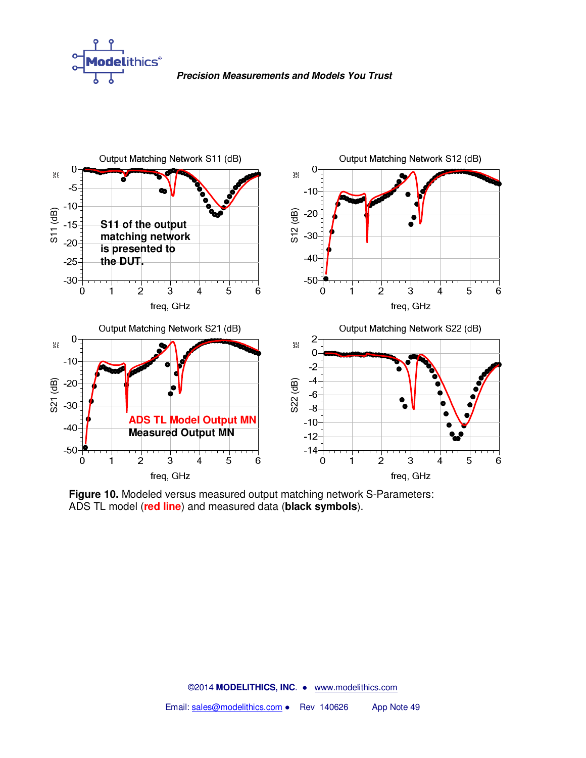



**Figure 10.** Modeled versus measured output matching network S-Parameters: ADS TL model (**red line**) and measured data (**black symbols**).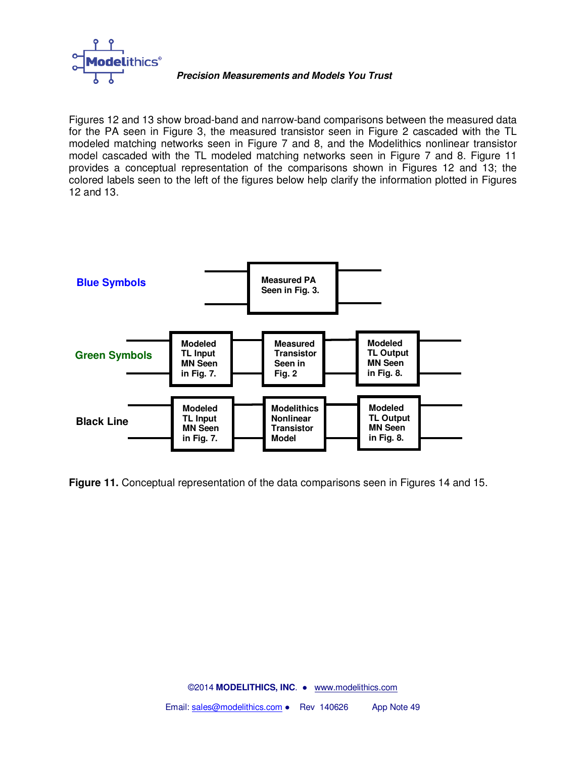

Figures 12 and 13 show broad-band and narrow-band comparisons between the measured data for the PA seen in Figure 3, the measured transistor seen in Figure 2 cascaded with the TL modeled matching networks seen in Figure 7 and 8, and the Modelithics nonlinear transistor model cascaded with the TL modeled matching networks seen in Figure 7 and 8. Figure 11 provides a conceptual representation of the comparisons shown in Figures 12 and 13; the colored labels seen to the left of the figures below help clarify the information plotted in Figures 12 and 13.



**Figure 11.** Conceptual representation of the data comparisons seen in Figures 14 and 15.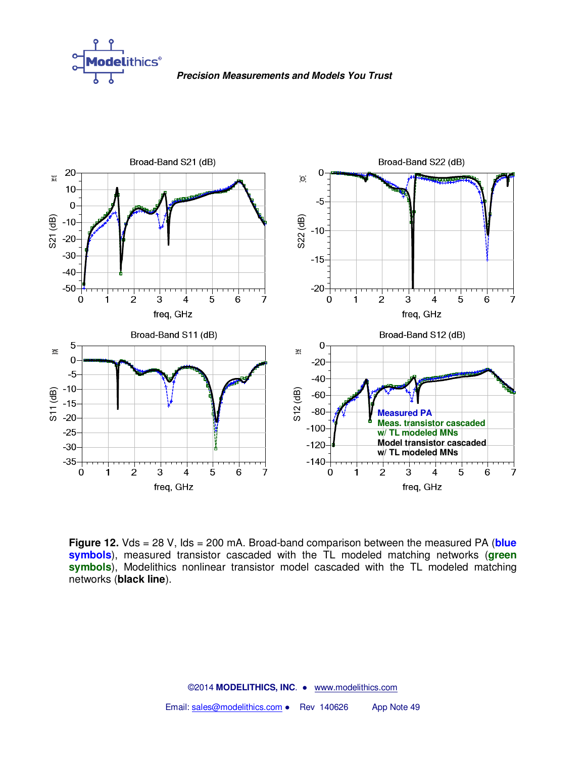



**Figure 12.** Vds = 28 V, Ids = 200 mA. Broad-band comparison between the measured PA (**blue symbols**), measured transistor cascaded with the TL modeled matching networks (**green symbols**), Modelithics nonlinear transistor model cascaded with the TL modeled matching networks (**black line**).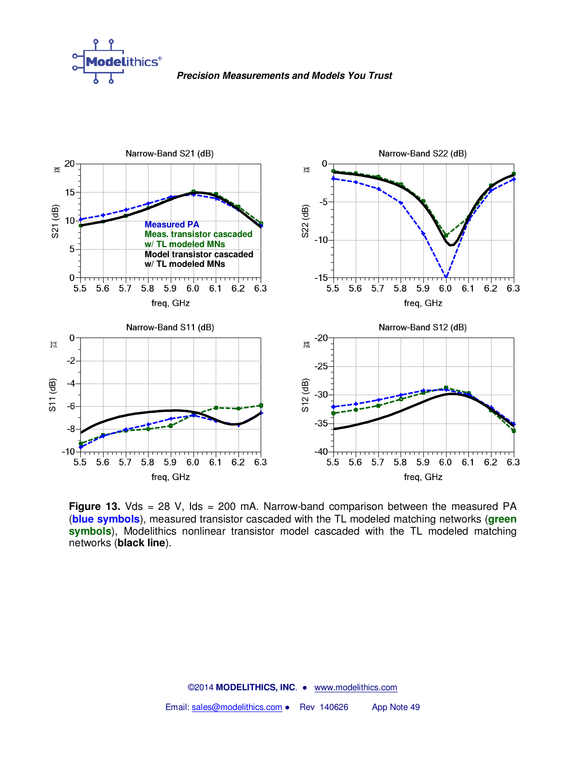



**Figure 13.** Vds = 28 V, Ids = 200 mA. Narrow-band comparison between the measured PA (**blue symbols**), measured transistor cascaded with the TL modeled matching networks (**green symbols**), Modelithics nonlinear transistor model cascaded with the TL modeled matching networks (**black line**).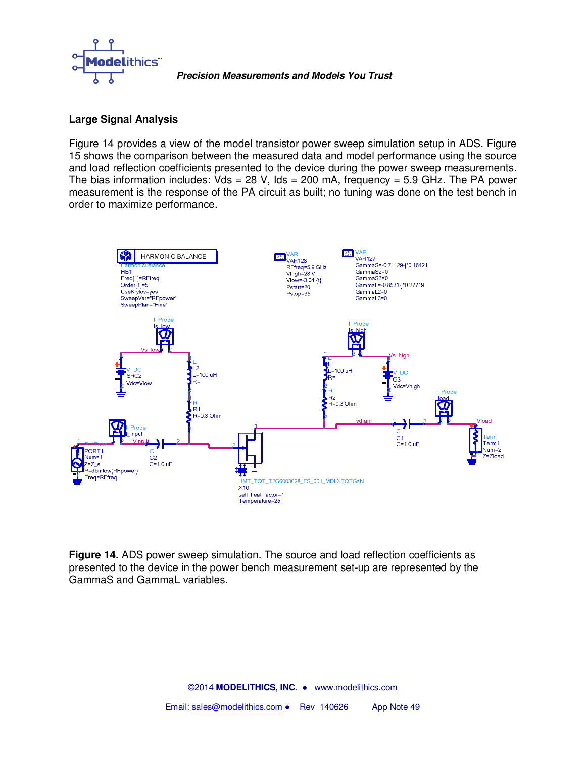

# **Large Signal Analysis**

Figure 14 provides a view of the model transistor power sweep simulation setup in ADS. Figure 15 shows the comparison between the measured data and model performance using the source and load reflection coefficients presented to the device during the power sweep measurements. The bias information includes:  $Vds = 28 V$ , Ids = 200 mA, frequency = 5.9 GHz. The PA power measurement is the response of the PA circuit as built; no tuning was done on the test bench in order to maximize performance.



**Figure 14.** ADS power sweep simulation. The source and load reflection coefficients as presented to the device in the power bench measurement set-up are represented by the GammaS and GammaL variables.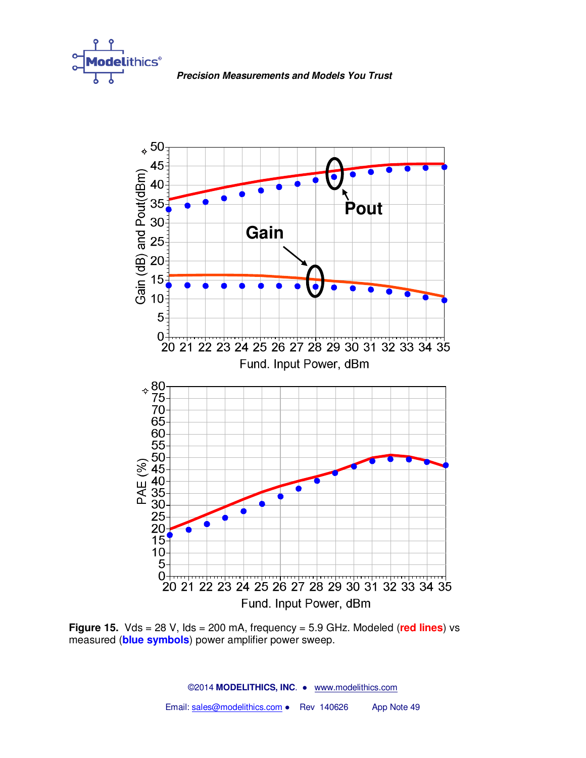



**Figure 15.** Vds = 28 V, Ids = 200 mA, frequency = 5.9 GHz. Modeled (**red lines**) vs measured (**blue symbols**) power amplifier power sweep.

©2014 **MODELITHICS, INC**. ● www.modelithics.com Email: sales@modelithics.com • Rev 140626 App Note 49